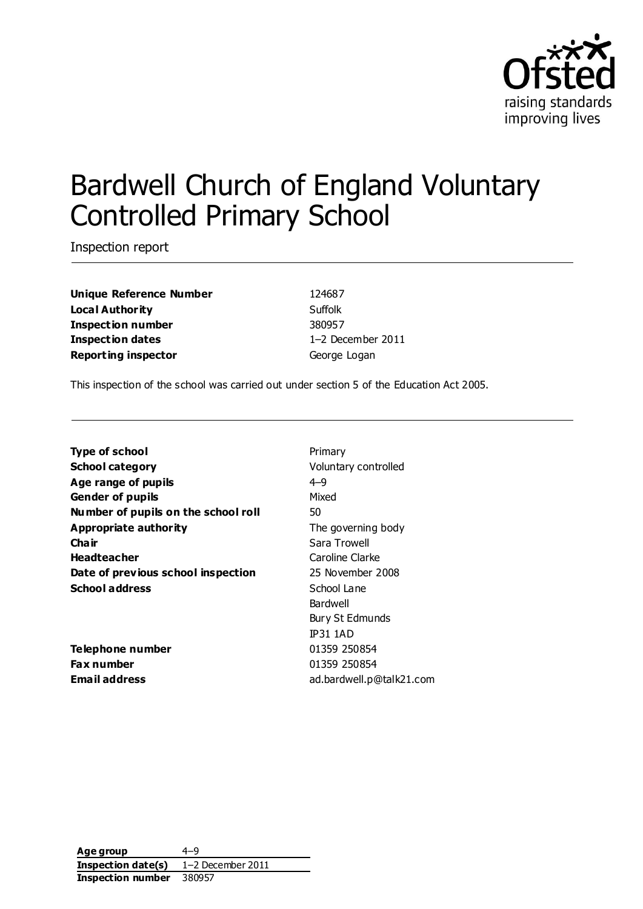

# Bardwell Church of England Voluntary Controlled Primary School

Inspection report

**Unique Reference Number** 124687 **Local Authority** Suffolk **Inspection number** 380957 **Inspection dates** 1–2 December 2011 **Reporting inspector** George Logan

This inspection of the school was carried out under section 5 of the Education Act 2005.

| Type of school                      | Primary              |  |
|-------------------------------------|----------------------|--|
| <b>School category</b>              | Voluntary controlled |  |
| Age range of pupils                 | $4 - 9$              |  |
| Mixed<br><b>Gender of pupils</b>    |                      |  |
| Number of pupils on the school roll | 50                   |  |
| Appropriate authority               | The governing body   |  |
| Cha ir                              | Sara Trowell         |  |
| <b>Headteacher</b>                  | Caroline Clarke      |  |
| Date of previous school inspection  | 25 November 2008     |  |
| <b>School address</b>               | School Lane          |  |
|                                     | Bardwell             |  |
|                                     | Bury St Edmunds      |  |
|                                     | <b>IP31 1AD</b>      |  |
| Telephone number                    | 01359 250854         |  |
| <b>Fax number</b>                   | 01359 250854         |  |

**Email address** ad.bardwell.p@talk21.com

**Age group** 4–9 **Inspection date(s)** 1–2 December 2011 **Inspection number** 380957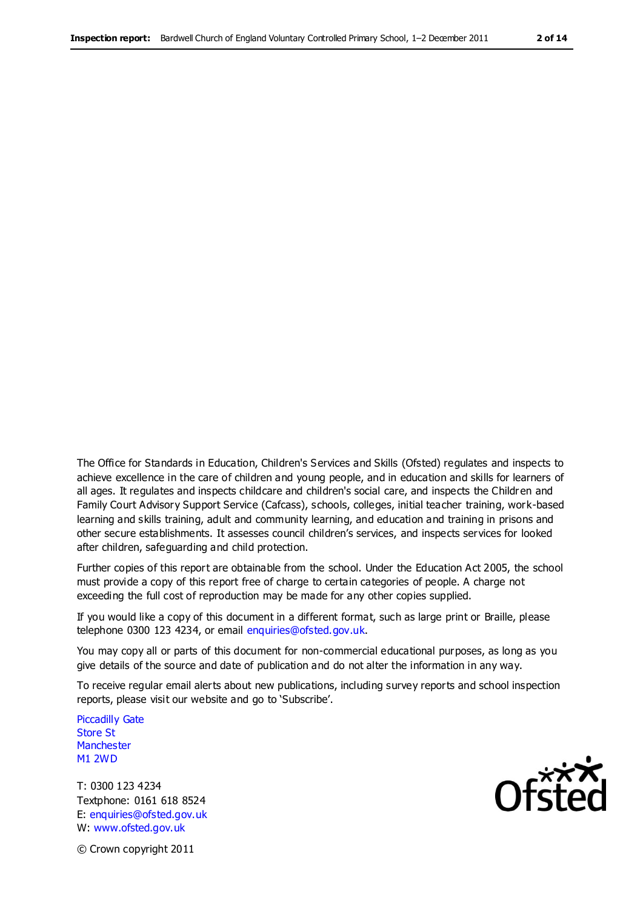The Office for Standards in Education, Children's Services and Skills (Ofsted) regulates and inspects to achieve excellence in the care of children and young people, and in education and skills for learners of all ages. It regulates and inspects childcare and children's social care, and inspects the Children and Family Court Advisory Support Service (Cafcass), schools, colleges, initial teacher training, work-based learning and skills training, adult and community learning, and education and training in prisons and other secure establishments. It assesses council children's services, and inspects services for looked after children, safeguarding and child protection.

Further copies of this report are obtainable from the school. Under the Education Act 2005, the school must provide a copy of this report free of charge to certain categories of people. A charge not exceeding the full cost of reproduction may be made for any other copies supplied.

If you would like a copy of this document in a different format, such as large print or Braille, please telephone 0300 123 4234, or email enquiries@ofsted.gov.uk.

You may copy all or parts of this document for non-commercial educational purposes, as long as you give details of the source and date of publication and do not alter the information in any way.

To receive regular email alerts about new publications, including survey reports and school inspection reports, please visit our website and go to 'Subscribe'.

Piccadilly Gate Store St **Manchester** M1 2WD

T: 0300 123 4234 Textphone: 0161 618 8524 E: enquiries@ofsted.gov.uk W: www.ofsted.gov.uk

Ofsted

© Crown copyright 2011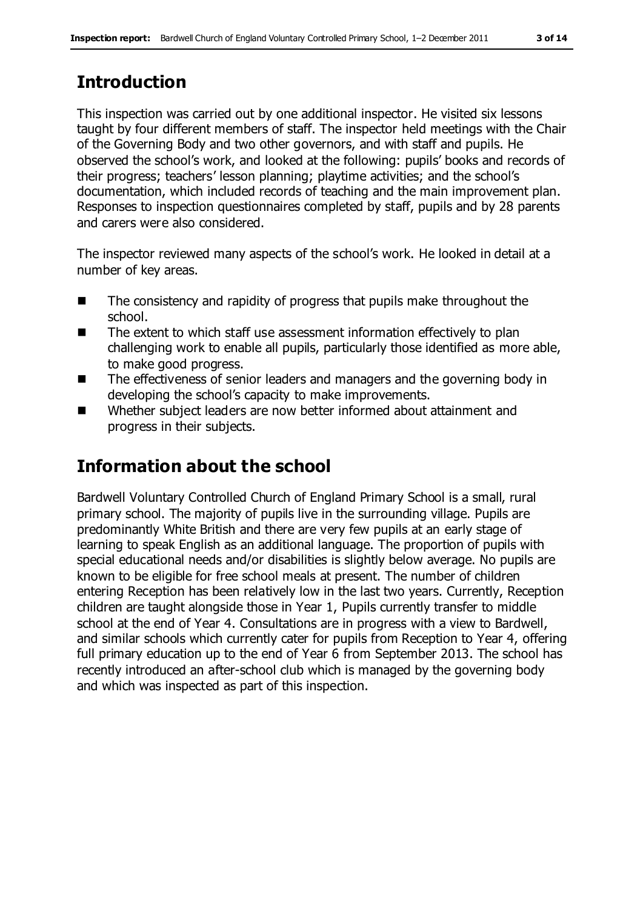# **Introduction**

This inspection was carried out by one additional inspector. He visited six lessons taught by four different members of staff. The inspector held meetings with the Chair of the Governing Body and two other governors, and with staff and pupils. He observed the school's work, and looked at the following: pupils' books and records of their progress; teachers' lesson planning; playtime activities; and the school's documentation, which included records of teaching and the main improvement plan. Responses to inspection questionnaires completed by staff, pupils and by 28 parents and carers were also considered.

The inspector reviewed many aspects of the school's work. He looked in detail at a number of key areas.

- The consistency and rapidity of progress that pupils make throughout the school.
- The extent to which staff use assessment information effectively to plan challenging work to enable all pupils, particularly those identified as more able, to make good progress.
- The effectiveness of senior leaders and managers and the governing body in developing the school's capacity to make improvements.
- Whether subject leaders are now better informed about attainment and progress in their subjects.

# **Information about the school**

Bardwell Voluntary Controlled Church of England Primary School is a small, rural primary school. The majority of pupils live in the surrounding village. Pupils are predominantly White British and there are very few pupils at an early stage of learning to speak English as an additional language. The proportion of pupils with special educational needs and/or disabilities is slightly below average. No pupils are known to be eligible for free school meals at present. The number of children entering Reception has been relatively low in the last two years. Currently, Reception children are taught alongside those in Year 1, Pupils currently transfer to middle school at the end of Year 4. Consultations are in progress with a view to Bardwell, and similar schools which currently cater for pupils from Reception to Year 4, offering full primary education up to the end of Year 6 from September 2013. The school has recently introduced an after-school club which is managed by the governing body and which was inspected as part of this inspection.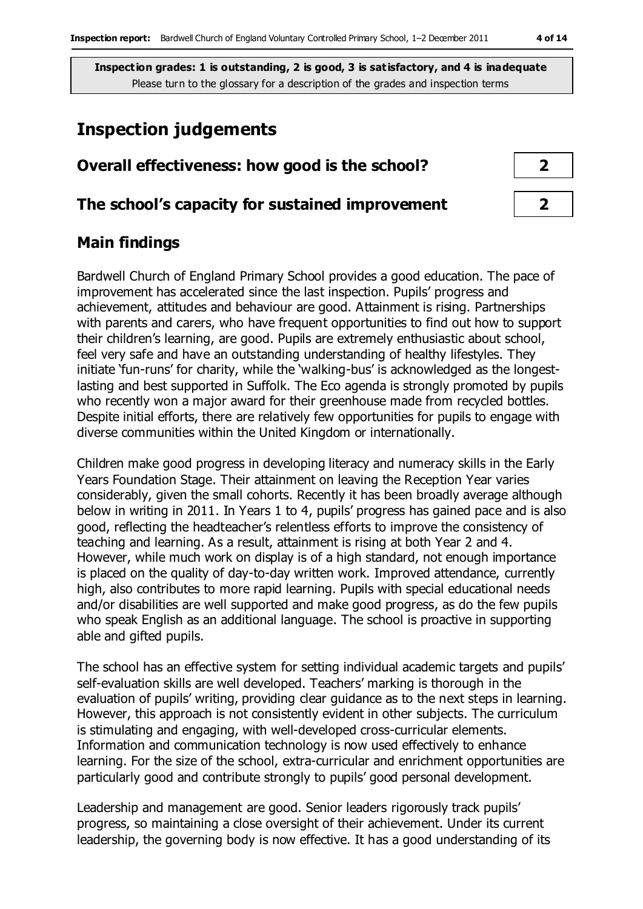### **Inspection judgements**

| Overall effectiveness: how good is the school?  |  |  |
|-------------------------------------------------|--|--|
| The school's capacity for sustained improvement |  |  |

### **Main findings**

Bardwell Church of England Primary School provides a good education. The pace of improvement has accelerated since the last inspection. Pupils' progress and achievement, attitudes and behaviour are good. Attainment is rising. Partnerships with parents and carers, who have frequent opportunities to find out how to support their children's learning, are good. Pupils are extremely enthusiastic about school, feel very safe and have an outstanding understanding of healthy lifestyles. They initiate 'fun-runs' for charity, while the 'walking-bus' is acknowledged as the longestlasting and best supported in Suffolk. The Eco agenda is strongly promoted by pupils who recently won a major award for their greenhouse made from recycled bottles. Despite initial efforts, there are relatively few opportunities for pupils to engage with diverse communities within the United Kingdom or internationally.

Children make good progress in developing literacy and numeracy skills in the Early Years Foundation Stage. Their attainment on leaving the Reception Year varies considerably, given the small cohorts. Recently it has been broadly average although below in writing in 2011. In Years 1 to 4, pupils' progress has gained pace and is also good, reflecting the headteacher's relentless efforts to improve the consistency of teaching and learning. As a result, attainment is rising at both Year 2 and 4. However, while much work on display is of a high standard, not enough importance is placed on the quality of day-to-day written work. Improved attendance, currently high, also contributes to more rapid learning. Pupils with special educational needs and/or disabilities are well supported and make good progress, as do the few pupils who speak English as an additional language. The school is proactive in supporting able and gifted pupils.

The school has an effective system for setting individual academic targets and pupils' self-evaluation skills are well developed. Teachers' marking is thorough in the evaluation of pupils' writing, providing clear guidance as to the next steps in learning. However, this approach is not consistently evident in other subjects. The curriculum is stimulating and engaging, with well-developed cross-curricular elements. Information and communication technology is now used effectively to enhance learning. For the size of the school, extra-curricular and enrichment opportunities are particularly good and contribute strongly to pupils' good personal development.

Leadership and management are good. Senior leaders rigorously track pupils' progress, so maintaining a close oversight of their achievement. Under its current leadership, the governing body is now effective. It has a good understanding of its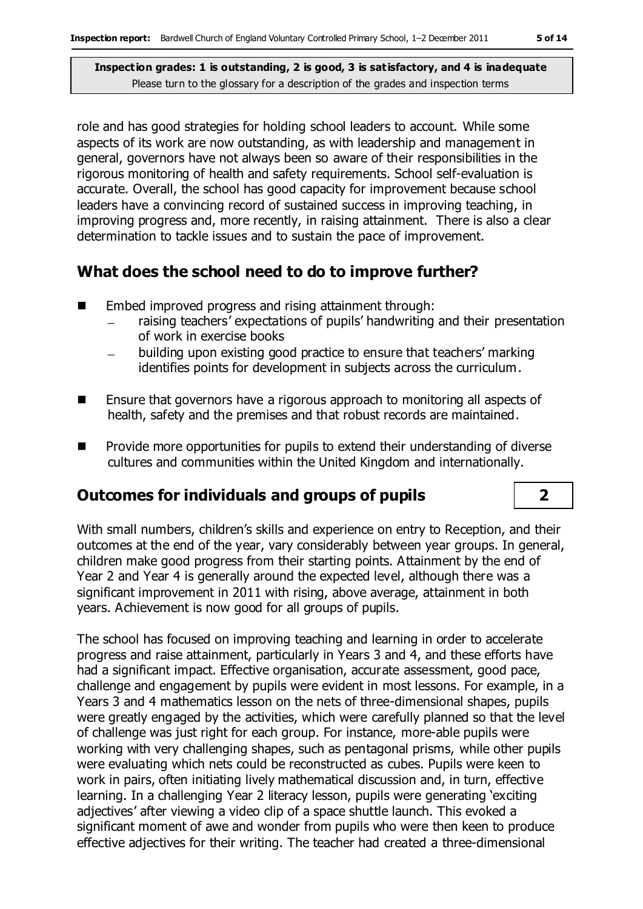role and has good strategies for holding school leaders to account. While some aspects of its work are now outstanding, as with leadership and management in general, governors have not always been so aware of their responsibilities in the rigorous monitoring of health and safety requirements. School self-evaluation is accurate. Overall, the school has good capacity for improvement because school leaders have a convincing record of sustained success in improving teaching, in improving progress and, more recently, in raising attainment. There is also a clear determination to tackle issues and to sustain the pace of improvement.

### **What does the school need to do to improve further?**

- Embed improved progress and rising attainment through:
	- raising teachers' expectations of pupils' handwriting and their presentation of work in exercise books
	- building upon existing good practice to ensure that teachers' marking identifies points for development in subjects across the curriculum.
- Ensure that governors have a rigorous approach to monitoring all aspects of health, safety and the premises and that robust records are maintained.
- $\blacksquare$  Provide more opportunities for pupils to extend their understanding of diverse cultures and communities within the United Kingdom and internationally.

### **Outcomes for individuals and groups of pupils 2**

With small numbers, children's skills and experience on entry to Reception, and their outcomes at the end of the year, vary considerably between year groups. In general, children make good progress from their starting points. Attainment by the end of Year 2 and Year 4 is generally around the expected level, although there was a significant improvement in 2011 with rising, above average, attainment in both years. Achievement is now good for all groups of pupils.

The school has focused on improving teaching and learning in order to accelerate progress and raise attainment, particularly in Years 3 and 4, and these efforts have had a significant impact. Effective organisation, accurate assessment, good pace, challenge and engagement by pupils were evident in most lessons. For example, in a Years 3 and 4 mathematics lesson on the nets of three-dimensional shapes, pupils were greatly engaged by the activities, which were carefully planned so that the level of challenge was just right for each group. For instance, more-able pupils were working with very challenging shapes, such as pentagonal prisms, while other pupils were evaluating which nets could be reconstructed as cubes. Pupils were keen to work in pairs, often initiating lively mathematical discussion and, in turn, effective learning. In a challenging Year 2 literacy lesson, pupils were generating 'exciting adjectives' after viewing a video clip of a space shuttle launch. This evoked a significant moment of awe and wonder from pupils who were then keen to produce effective adjectives for their writing. The teacher had created a three-dimensional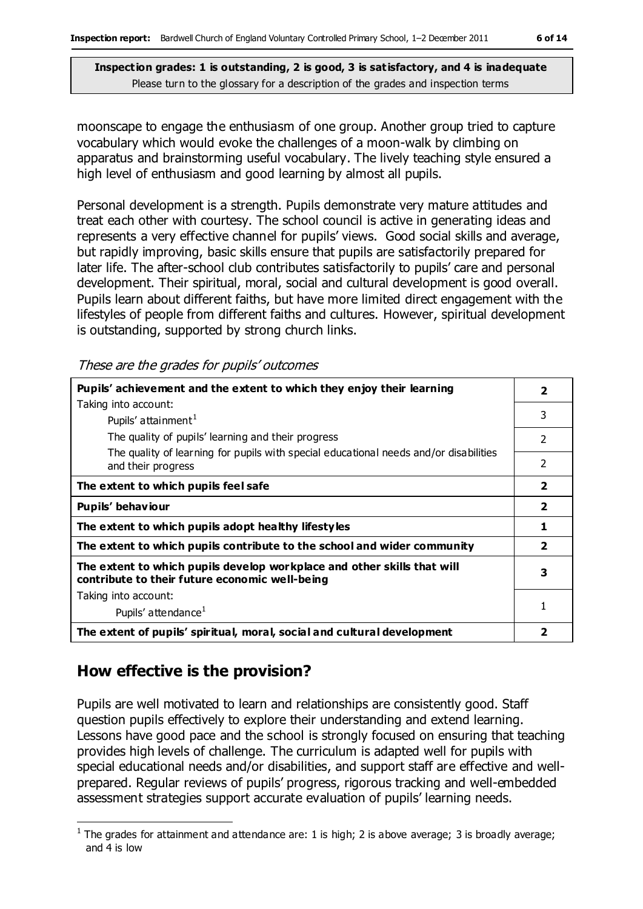moonscape to engage the enthusiasm of one group. Another group tried to capture vocabulary which would evoke the challenges of a moon-walk by climbing on apparatus and brainstorming useful vocabulary. The lively teaching style ensured a high level of enthusiasm and good learning by almost all pupils.

Personal development is a strength. Pupils demonstrate very mature attitudes and treat each other with courtesy. The school council is active in generating ideas and represents a very effective channel for pupils' views. Good social skills and average, but rapidly improving, basic skills ensure that pupils are satisfactorily prepared for later life. The after-school club contributes satisfactorily to pupils' care and personal development. Their spiritual, moral, social and cultural development is good overall. Pupils learn about different faiths, but have more limited direct engagement with the lifestyles of people from different faiths and cultures. However, spiritual development is outstanding, supported by strong church links.

These are the grades for pupils' outcomes

| Pupils' achievement and the extent to which they enjoy their learning                                                     | $\mathbf{2}$             |
|---------------------------------------------------------------------------------------------------------------------------|--------------------------|
| Taking into account:                                                                                                      |                          |
| Pupils' attainment <sup>1</sup>                                                                                           | 3                        |
| The quality of pupils' learning and their progress                                                                        | 2                        |
| The quality of learning for pupils with special educational needs and/or disabilities<br>and their progress               | $\overline{\phantom{a}}$ |
| The extent to which pupils feel safe                                                                                      | $\overline{\mathbf{2}}$  |
| Pupils' behaviour                                                                                                         | $\overline{2}$           |
| The extent to which pupils adopt healthy lifestyles                                                                       | 1                        |
| The extent to which pupils contribute to the school and wider community                                                   | $\overline{\mathbf{2}}$  |
| The extent to which pupils develop workplace and other skills that will<br>contribute to their future economic well-being | 3                        |
| Taking into account:                                                                                                      |                          |
| Pupils' attendance <sup>1</sup>                                                                                           | 1                        |
| The extent of pupils' spiritual, moral, social and cultural development                                                   | 2                        |

### **How effective is the provision?**

Pupils are well motivated to learn and relationships are consistently good. Staff question pupils effectively to explore their understanding and extend learning. Lessons have good pace and the school is strongly focused on ensuring that teaching provides high levels of challenge. The curriculum is adapted well for pupils with special educational needs and/or disabilities, and support staff are effective and wellprepared. Regular reviews of pupils' progress, rigorous tracking and well-embedded assessment strategies support accurate evaluation of pupils' learning needs.

 $\overline{a}$ <sup>1</sup> The grades for attainment and attendance are: 1 is high; 2 is above average; 3 is broadly average; and 4 is low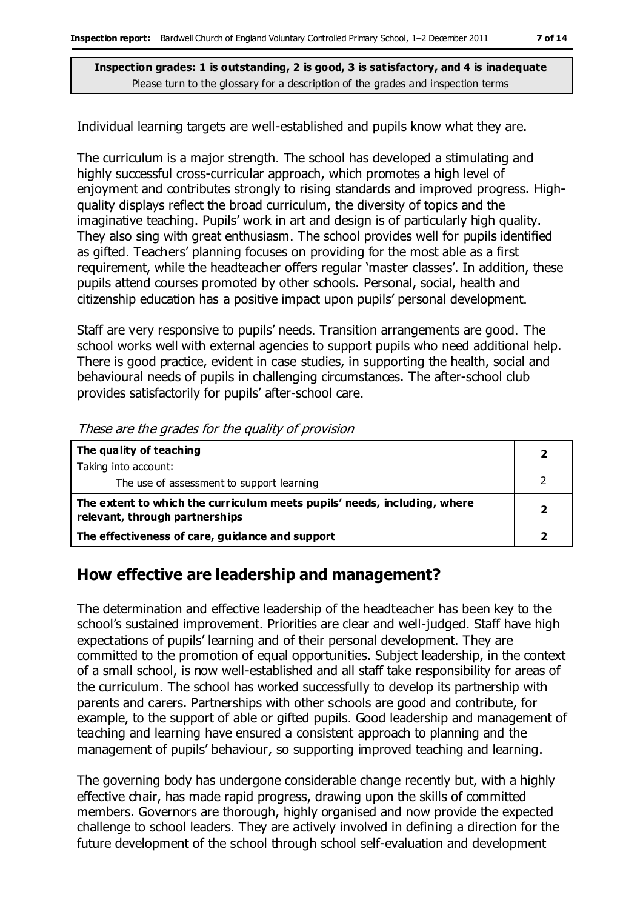Individual learning targets are well-established and pupils know what they are.

The curriculum is a major strength. The school has developed a stimulating and highly successful cross-curricular approach, which promotes a high level of enjoyment and contributes strongly to rising standards and improved progress. Highquality displays reflect the broad curriculum, the diversity of topics and the imaginative teaching. Pupils' work in art and design is of particularly high quality. They also sing with great enthusiasm. The school provides well for pupils identified as gifted. Teachers' planning focuses on providing for the most able as a first requirement, while the headteacher offers regular 'master classes'. In addition, these pupils attend courses promoted by other schools. Personal, social, health and citizenship education has a positive impact upon pupils' personal development.

Staff are very responsive to pupils' needs. Transition arrangements are good. The school works well with external agencies to support pupils who need additional help. There is good practice, evident in case studies, in supporting the health, social and behavioural needs of pupils in challenging circumstances. The after-school club provides satisfactorily for pupils' after-school care.

| The quality of teaching                                                                                    |  |
|------------------------------------------------------------------------------------------------------------|--|
| Taking into account:                                                                                       |  |
| The use of assessment to support learning                                                                  |  |
| The extent to which the curriculum meets pupils' needs, including, where<br>relevant, through partnerships |  |
| The effectiveness of care, guidance and support                                                            |  |

These are the grades for the quality of provision

### **How effective are leadership and management?**

The determination and effective leadership of the headteacher has been key to the school's sustained improvement. Priorities are clear and well-judged. Staff have high expectations of pupils' learning and of their personal development. They are committed to the promotion of equal opportunities. Subject leadership, in the context of a small school, is now well-established and all staff take responsibility for areas of the curriculum. The school has worked successfully to develop its partnership with parents and carers. Partnerships with other schools are good and contribute, for example, to the support of able or gifted pupils. Good leadership and management of teaching and learning have ensured a consistent approach to planning and the management of pupils' behaviour, so supporting improved teaching and learning.

The governing body has undergone considerable change recently but, with a highly effective chair, has made rapid progress, drawing upon the skills of committed members. Governors are thorough, highly organised and now provide the expected challenge to school leaders. They are actively involved in defining a direction for the future development of the school through school self-evaluation and development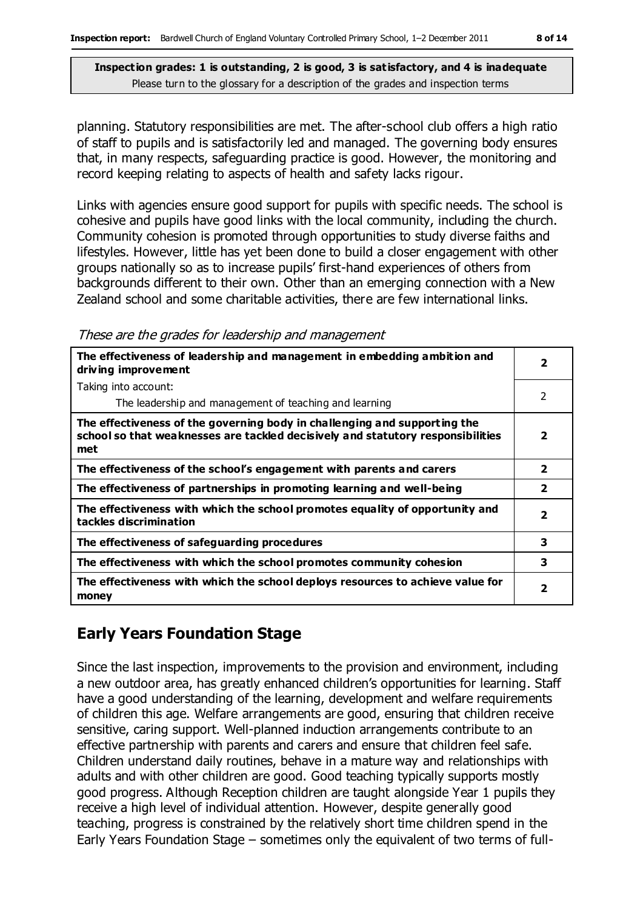planning. Statutory responsibilities are met. The after-school club offers a high ratio of staff to pupils and is satisfactorily led and managed. The governing body ensures that, in many respects, safeguarding practice is good. However, the monitoring and record keeping relating to aspects of health and safety lacks rigour.

Links with agencies ensure good support for pupils with specific needs. The school is cohesive and pupils have good links with the local community, including the church. Community cohesion is promoted through opportunities to study diverse faiths and lifestyles. However, little has yet been done to build a closer engagement with other groups nationally so as to increase pupils' first-hand experiences of others from backgrounds different to their own. Other than an emerging connection with a New Zealand school and some charitable activities, there are few international links.

These are the grades for leadership and management

| The effectiveness of leadership and management in embedding ambition and<br>driving improvement                                                                     |                         |
|---------------------------------------------------------------------------------------------------------------------------------------------------------------------|-------------------------|
| Taking into account:                                                                                                                                                |                         |
| The leadership and management of teaching and learning                                                                                                              | $\mathcal{P}$           |
| The effectiveness of the governing body in challenging and supporting the<br>school so that weaknesses are tackled decisively and statutory responsibilities<br>met | 2                       |
| The effectiveness of the school's engagement with parents and carers                                                                                                | $\overline{\mathbf{2}}$ |
| The effectiveness of partnerships in promoting learning and well-being                                                                                              | $\overline{\mathbf{2}}$ |
| The effectiveness with which the school promotes equality of opportunity and<br>tackles discrimination                                                              | 2                       |
| The effectiveness of safeguarding procedures                                                                                                                        | 3                       |
| The effectiveness with which the school promotes community cohesion                                                                                                 | 3                       |
| The effectiveness with which the school deploys resources to achieve value for<br>money                                                                             | $\overline{\mathbf{2}}$ |

### **Early Years Foundation Stage**

Since the last inspection, improvements to the provision and environment, including a new outdoor area, has greatly enhanced children's opportunities for learning. Staff have a good understanding of the learning, development and welfare requirements of children this age. Welfare arrangements are good, ensuring that children receive sensitive, caring support. Well-planned induction arrangements contribute to an effective partnership with parents and carers and ensure that children feel safe. Children understand daily routines, behave in a mature way and relationships with adults and with other children are good. Good teaching typically supports mostly good progress. Although Reception children are taught alongside Year 1 pupils they receive a high level of individual attention. However, despite generally good teaching, progress is constrained by the relatively short time children spend in the Early Years Foundation Stage – sometimes only the equivalent of two terms of full-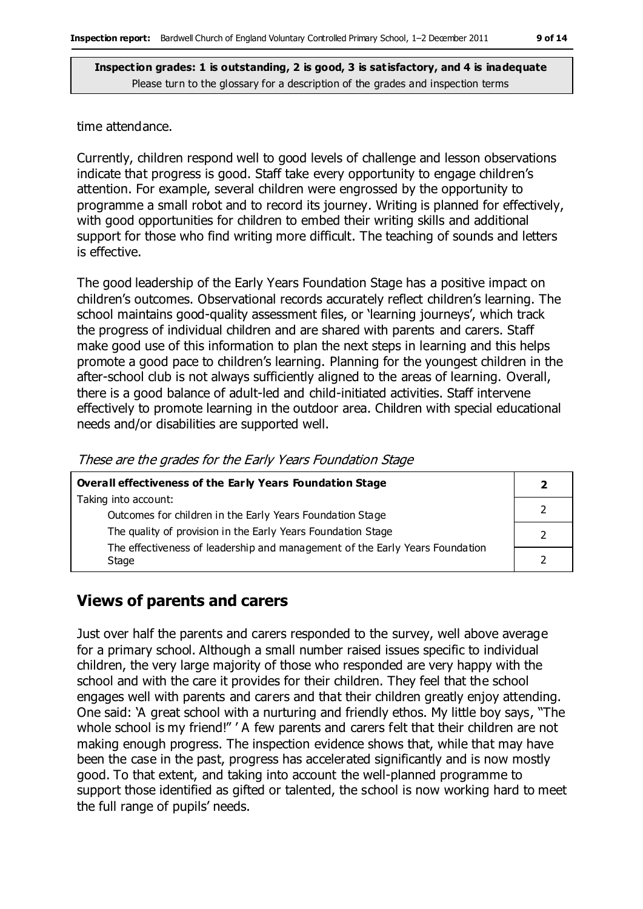#### time attendance.

Currently, children respond well to good levels of challenge and lesson observations indicate that progress is good. Staff take every opportunity to engage children's attention. For example, several children were engrossed by the opportunity to programme a small robot and to record its journey. Writing is planned for effectively, with good opportunities for children to embed their writing skills and additional support for those who find writing more difficult. The teaching of sounds and letters is effective.

The good leadership of the Early Years Foundation Stage has a positive impact on children's outcomes. Observational records accurately reflect children's learning. The school maintains good-quality assessment files, or 'learning journeys', which track the progress of individual children and are shared with parents and carers. Staff make good use of this information to plan the next steps in learning and this helps promote a good pace to children's learning. Planning for the youngest children in the after-school club is not always sufficiently aligned to the areas of learning. Overall, there is a good balance of adult-led and child-initiated activities. Staff intervene effectively to promote learning in the outdoor area. Children with special educational needs and/or disabilities are supported well.

These are the grades for the Early Years Foundation Stage

| <b>Overall effectiveness of the Early Years Foundation Stage</b>             |  |
|------------------------------------------------------------------------------|--|
| Taking into account:                                                         |  |
| Outcomes for children in the Early Years Foundation Stage                    |  |
| The quality of provision in the Early Years Foundation Stage                 |  |
| The effectiveness of leadership and management of the Early Years Foundation |  |
| Stage                                                                        |  |

### **Views of parents and carers**

Just over half the parents and carers responded to the survey, well above average for a primary school. Although a small number raised issues specific to individual children, the very large majority of those who responded are very happy with the school and with the care it provides for their children. They feel that the school engages well with parents and carers and that their children greatly enjoy attending. One said: 'A great school with a nurturing and friendly ethos. My little boy says, "The whole school is my friend!" ' A few parents and carers felt that their children are not making enough progress. The inspection evidence shows that, while that may have been the case in the past, progress has accelerated significantly and is now mostly good. To that extent, and taking into account the well-planned programme to support those identified as gifted or talented, the school is now working hard to meet the full range of pupils' needs.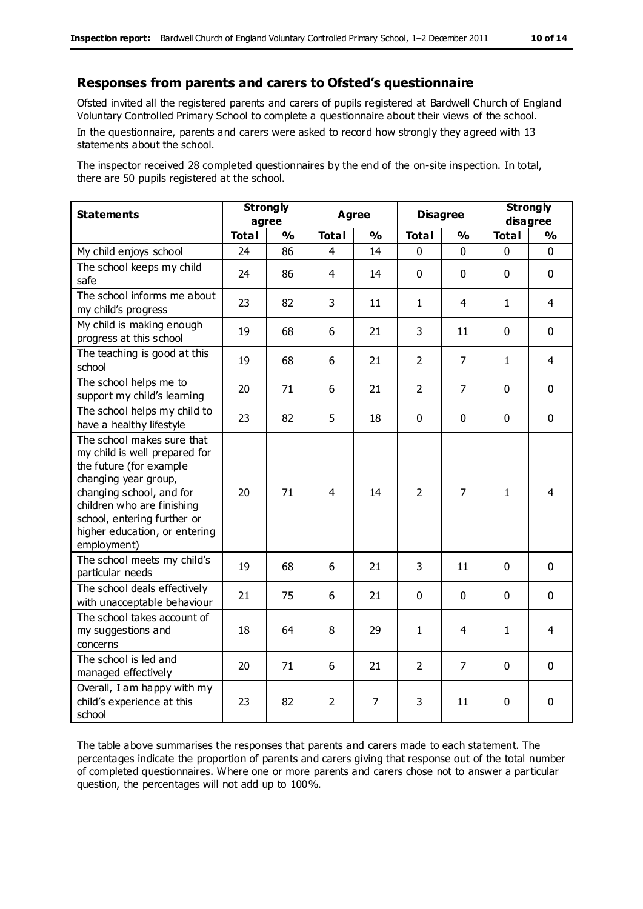#### **Responses from parents and carers to Ofsted's questionnaire**

Ofsted invited all the registered parents and carers of pupils registered at Bardwell Church of England Voluntary Controlled Primary School to complete a questionnaire about their views of the school.

In the questionnaire, parents and carers were asked to record how strongly they agreed with 13 statements about the school.

The inspector received 28 completed questionnaires by the end of the on-site inspection. In total, there are 50 pupils registered at the school.

| <b>Statements</b>                                                                                                                                                                                                                                       | <b>Strongly</b><br>agree |               | <b>Agree</b>   |                | <b>Disagree</b> |                | <b>Strongly</b><br>disagree |                |
|---------------------------------------------------------------------------------------------------------------------------------------------------------------------------------------------------------------------------------------------------------|--------------------------|---------------|----------------|----------------|-----------------|----------------|-----------------------------|----------------|
|                                                                                                                                                                                                                                                         | <b>Total</b>             | $\frac{0}{0}$ | <b>Total</b>   | $\frac{0}{0}$  | <b>Total</b>    | $\frac{0}{0}$  | <b>Total</b>                | $\frac{1}{2}$  |
| My child enjoys school                                                                                                                                                                                                                                  | 24                       | 86            | 4              | 14             | 0               | 0              | 0                           | $\Omega$       |
| The school keeps my child<br>safe                                                                                                                                                                                                                       | 24                       | 86            | 4              | 14             | $\mathbf 0$     | $\mathbf 0$    | $\mathbf{0}$                | $\mathbf 0$    |
| The school informs me about<br>my child's progress                                                                                                                                                                                                      | 23                       | 82            | 3              | 11             | $\mathbf{1}$    | 4              | $\mathbf{1}$                | $\overline{4}$ |
| My child is making enough<br>progress at this school                                                                                                                                                                                                    | 19                       | 68            | 6              | 21             | 3               | 11             | $\mathbf 0$                 | $\mathbf 0$    |
| The teaching is good at this<br>school                                                                                                                                                                                                                  | 19                       | 68            | 6              | 21             | $\overline{2}$  | 7              | 1                           | 4              |
| The school helps me to<br>support my child's learning                                                                                                                                                                                                   | 20                       | 71            | 6              | 21             | $\overline{2}$  | 7              | $\mathbf 0$                 | $\mathbf 0$    |
| The school helps my child to<br>have a healthy lifestyle                                                                                                                                                                                                | 23                       | 82            | 5              | 18             | 0               | $\mathbf 0$    | $\mathbf 0$                 | $\mathbf 0$    |
| The school makes sure that<br>my child is well prepared for<br>the future (for example<br>changing year group,<br>changing school, and for<br>children who are finishing<br>school, entering further or<br>higher education, or entering<br>employment) | 20                       | 71            | 4              | 14             | $\overline{2}$  | $\overline{7}$ | $\mathbf{1}$                | 4              |
| The school meets my child's<br>particular needs                                                                                                                                                                                                         | 19                       | 68            | 6              | 21             | 3               | 11             | $\mathbf 0$                 | $\mathbf 0$    |
| The school deals effectively<br>with unacceptable behaviour                                                                                                                                                                                             | 21                       | 75            | 6              | 21             | $\mathbf 0$     | $\mathbf 0$    | $\mathbf 0$                 | $\mathbf 0$    |
| The school takes account of<br>my suggestions and<br>concerns                                                                                                                                                                                           | 18                       | 64            | 8              | 29             | $\mathbf{1}$    | 4              | $\mathbf{1}$                | 4              |
| The school is led and<br>managed effectively                                                                                                                                                                                                            | 20                       | 71            | 6              | 21             | $\overline{2}$  | 7              | $\mathbf 0$                 | $\mathbf 0$    |
| Overall, I am happy with my<br>child's experience at this<br>school                                                                                                                                                                                     | 23                       | 82            | $\overline{2}$ | $\overline{7}$ | 3               | 11             | $\mathbf 0$                 | 0              |

The table above summarises the responses that parents and carers made to each statement. The percentages indicate the proportion of parents and carers giving that response out of the total number of completed questionnaires. Where one or more parents and carers chose not to answer a particular question, the percentages will not add up to 100%.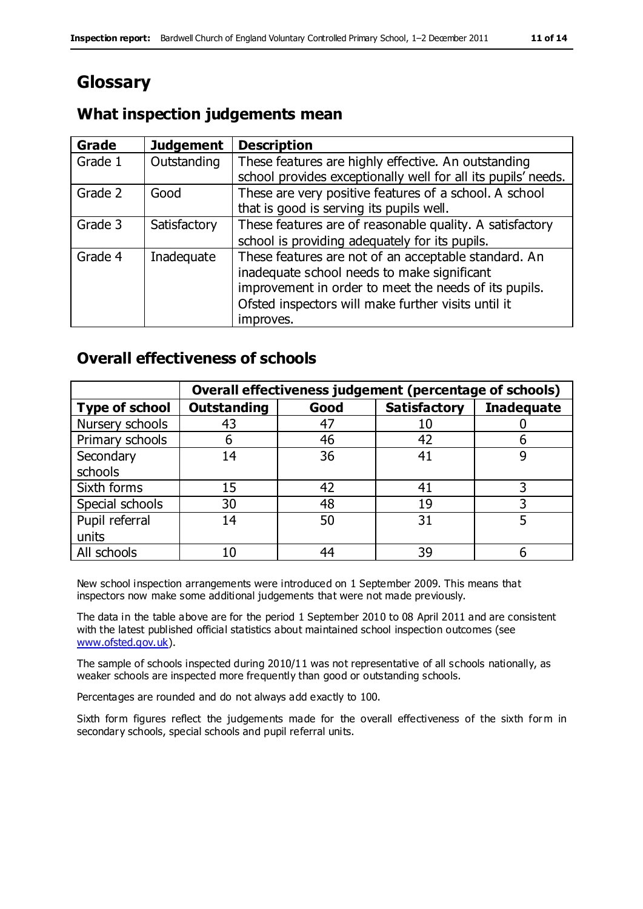# **Glossary**

### **What inspection judgements mean**

| <b>Grade</b> | <b>Judgement</b> | <b>Description</b>                                                                                                                                                                                                               |
|--------------|------------------|----------------------------------------------------------------------------------------------------------------------------------------------------------------------------------------------------------------------------------|
| Grade 1      | Outstanding      | These features are highly effective. An outstanding<br>school provides exceptionally well for all its pupils' needs.                                                                                                             |
| Grade 2      | Good             | These are very positive features of a school. A school<br>that is good is serving its pupils well.                                                                                                                               |
| Grade 3      | Satisfactory     | These features are of reasonable quality. A satisfactory<br>school is providing adequately for its pupils.                                                                                                                       |
| Grade 4      | Inadequate       | These features are not of an acceptable standard. An<br>inadequate school needs to make significant<br>improvement in order to meet the needs of its pupils.<br>Ofsted inspectors will make further visits until it<br>improves. |

### **Overall effectiveness of schools**

|                       | Overall effectiveness judgement (percentage of schools) |      |                     |                   |
|-----------------------|---------------------------------------------------------|------|---------------------|-------------------|
| <b>Type of school</b> | <b>Outstanding</b>                                      | Good | <b>Satisfactory</b> | <b>Inadequate</b> |
| Nursery schools       | 43                                                      | 47   | 10                  |                   |
| Primary schools       | 6                                                       | 46   | 42                  |                   |
| Secondary             | 14                                                      | 36   | 41                  |                   |
| schools               |                                                         |      |                     |                   |
| Sixth forms           | 15                                                      | 42   | 41                  | 3                 |
| Special schools       | 30                                                      | 48   | 19                  |                   |
| Pupil referral        | 14                                                      | 50   | 31                  |                   |
| units                 |                                                         |      |                     |                   |
| All schools           | 10                                                      | 44   | 39                  |                   |

New school inspection arrangements were introduced on 1 September 2009. This means that inspectors now make some additional judgements that were not made previously.

The data in the table above are for the period 1 September 2010 to 08 April 2011 and are consistent with the latest published official statistics about maintained school inspection outcomes (see [www.ofsted.gov.uk\)](http://www.ofsted.gov.uk/).

The sample of schools inspected during 2010/11 was not representative of all schools nationally, as weaker schools are inspected more frequently than good or outstanding schools.

Percentages are rounded and do not always add exactly to 100.

Sixth form figures reflect the judgements made for the overall effectiveness of the sixth form in secondary schools, special schools and pupil referral units.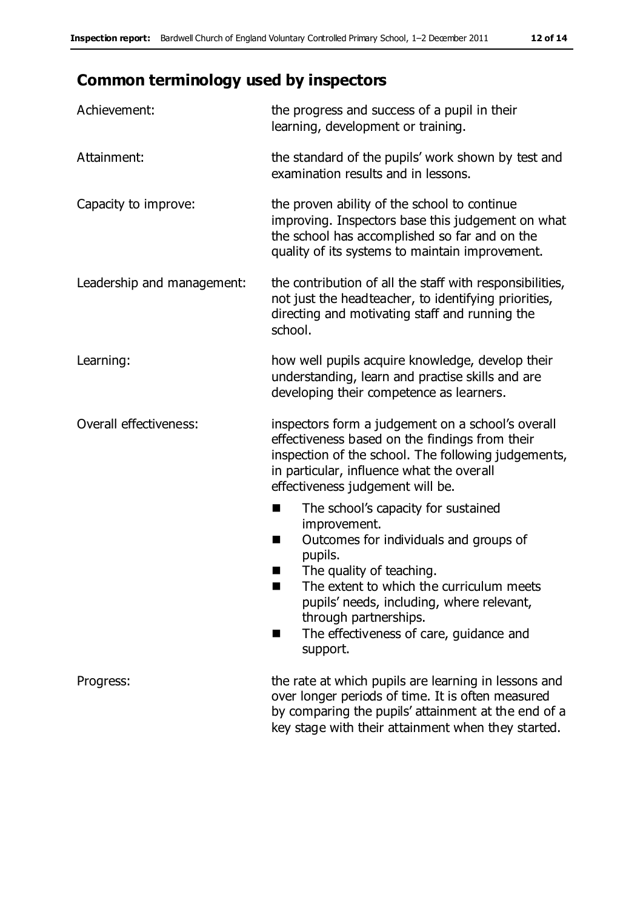## **Common terminology used by inspectors**

| Achievement:               | the progress and success of a pupil in their<br>learning, development or training.                                                                                                                                                                                                                                           |
|----------------------------|------------------------------------------------------------------------------------------------------------------------------------------------------------------------------------------------------------------------------------------------------------------------------------------------------------------------------|
| Attainment:                | the standard of the pupils' work shown by test and<br>examination results and in lessons.                                                                                                                                                                                                                                    |
| Capacity to improve:       | the proven ability of the school to continue<br>improving. Inspectors base this judgement on what<br>the school has accomplished so far and on the<br>quality of its systems to maintain improvement.                                                                                                                        |
| Leadership and management: | the contribution of all the staff with responsibilities,<br>not just the headteacher, to identifying priorities,<br>directing and motivating staff and running the<br>school.                                                                                                                                                |
| Learning:                  | how well pupils acquire knowledge, develop their<br>understanding, learn and practise skills and are<br>developing their competence as learners.                                                                                                                                                                             |
| Overall effectiveness:     | inspectors form a judgement on a school's overall<br>effectiveness based on the findings from their<br>inspection of the school. The following judgements,<br>in particular, influence what the overall<br>effectiveness judgement will be.                                                                                  |
|                            | The school's capacity for sustained<br>ш<br>improvement.<br>Outcomes for individuals and groups of<br>п<br>pupils.<br>The quality of teaching.<br>The extent to which the curriculum meets<br>pupils' needs, including, where relevant,<br>through partnerships.<br>The effectiveness of care, guidance and<br>٠<br>support. |
| Progress:                  | the rate at which pupils are learning in lessons and<br>over longer periods of time. It is often measured<br>by comparing the pupils' attainment at the end of a<br>key stage with their attainment when they started.                                                                                                       |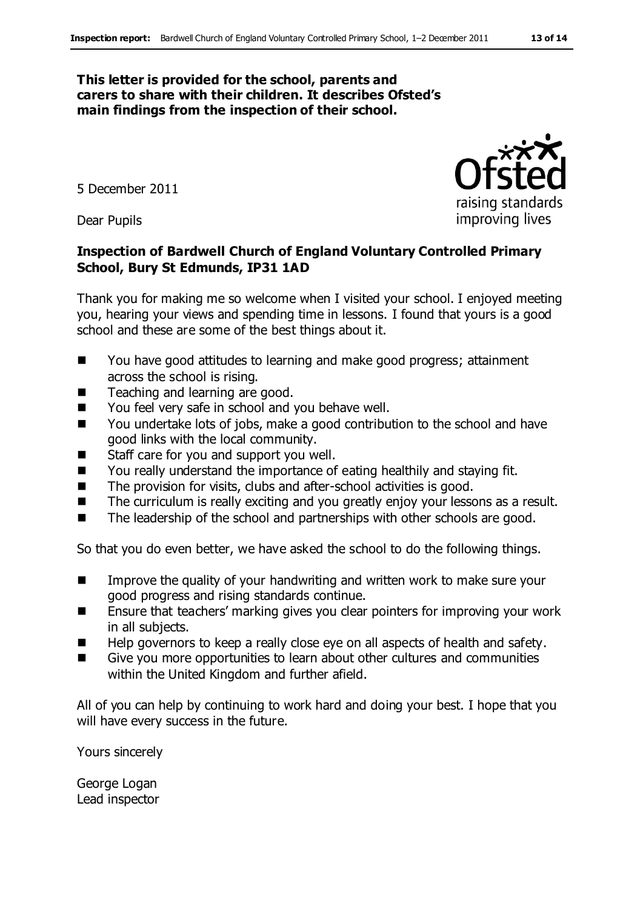#### **This letter is provided for the school, parents and carers to share with their children. It describes Ofsted's main findings from the inspection of their school.**

5 December 2011

Dear Pupils

#### **Inspection of Bardwell Church of England Voluntary Controlled Primary School, Bury St Edmunds, IP31 1AD**

Thank you for making me so welcome when I visited your school. I enjoyed meeting you, hearing your views and spending time in lessons. I found that yours is a good school and these are some of the best things about it.

- You have good attitudes to learning and make good progress; attainment across the school is rising.
- Teaching and learning are good.
- You feel very safe in school and you behave well.
- You undertake lots of jobs, make a good contribution to the school and have good links with the local community.
- Staff care for you and support you well.
- You really understand the importance of eating healthily and staying fit.
- The provision for visits, clubs and after-school activities is good.
- The curriculum is really exciting and you greatly enjoy your lessons as a result.
- The leadership of the school and partnerships with other schools are good.

So that you do even better, we have asked the school to do the following things.

- Improve the quality of your handwriting and written work to make sure your good progress and rising standards continue.
- Ensure that teachers' marking gives you clear pointers for improving your work in all subjects.
- Help governors to keep a really close eye on all aspects of health and safety.
- Give you more opportunities to learn about other cultures and communities within the United Kingdom and further afield.

All of you can help by continuing to work hard and doing your best. I hope that you will have every success in the future.

Yours sincerely

George Logan Lead inspector